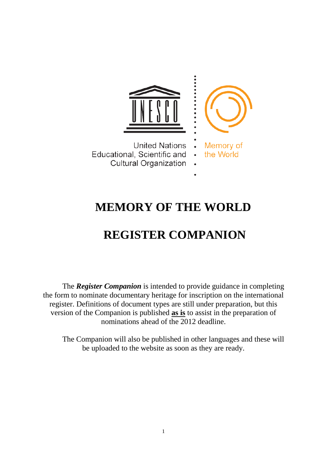

**United Nations** Educational, Scientific and **Cultural Organization** 



# **MEMORY OF THE WORLD**

# **REGISTER COMPANION**

The *Register Companion* is intended to provide guidance in completing the form to nominate documentary heritage for inscription on the international register. Definitions of document types are still under preparation, but this version of the Companion is published **as is** to assist in the preparation of nominations ahead of the 2012 deadline.

The Companion will also be published in other languages and these will be uploaded to the website as soon as they are ready.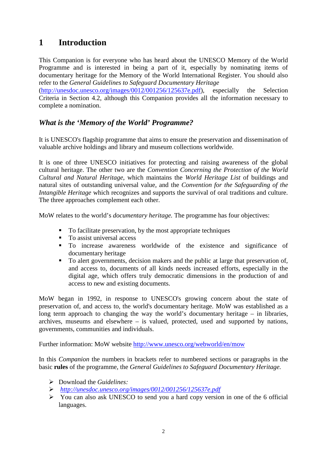## **1 Introduction**

This Companion is for everyone who has heard about the UNESCO Memory of the World Programme and is interested in being a part of it, especially by nominating items of documentary heritage for the Memory of the World International Register. You should also refer to the *General Guidelines to Safeguard Documentary Heritage*

[\(http://unesdoc.unesco.org/images/0012/001256/125637e.pdf\)](http://unesdoc.unesco.org/images/0012/001256/125637e.pdf), especially the Selection Criteria in Section 4.2, although this Companion provides all the information necessary to complete a nomination.

## *What is the 'Memory of the World' Programme?*

It is UNESCO's flagship programme that aims to ensure the preservation and dissemination of valuable archive holdings and library and museum collections worldwide.

It is one of three UNESCO initiatives for protecting and raising awareness of the global cultural heritage. The other two are the *Convention Concerning the Protection of the World Cultural and Natural Heritage,* which maintains the *World Heritage List* of buildings and natural sites of outstanding universal value, and the *Convention for the Safeguarding of the Intangible Heritage* which recognizes and supports the survival of oral traditions and culture. The three approaches complement each other.

MoW relates to the world's *documentary heritage.* The programme has four objectives:

- To facilitate preservation, by the most appropriate techniques
- To assist universal access
- To increase awareness worldwide of the existence and significance of documentary heritage
- To alert governments, decision makers and the public at large that preservation of, and access to, documents of all kinds needs increased efforts, especially in the digital age, which offers truly democratic dimensions in the production of and access to new and existing documents.

MoW began in 1992, in response to UNESCO's growing concern about the state of preservation of, and access to, the world's documentary heritage. MoW was established as a long term approach to changing the way the world's documentary heritage – in libraries, archives, museums and elsewhere – is valued, protected, used and supported by nations, governments, communities and individuals.

Further information: MoW website<http://www.unesco.org/webworld/en/mow>

In this *Companion* the numbers in brackets refer to numbered sections or paragraphs in the basic **rules** of the programme, the *General Guidelines to Safeguard Documentary Heritage.*

- Download the *Guidelines:*
- *<http://unesdoc.unesco.org/images/0012/001256/125637e.pdf>*
- $\triangleright$  You can also ask UNESCO to send you a hard copy version in one of the 6 official languages.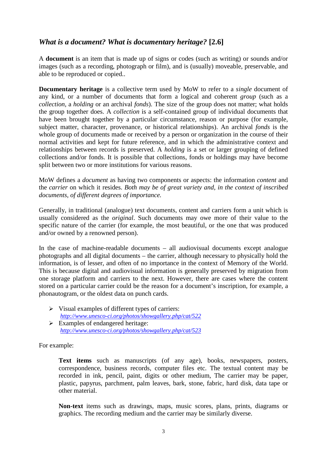## *What is a document? What is documentary heritage?* **[2.6]**

A **document** is an item that is made up of signs or codes (such as writing) or sounds and/or images (such as a recording, photograph or film), and is (usually) moveable, preservable, and able to be reproduced or copied..

**Documentary heritage** is a collective term used by MoW to refer to a *single* document of any kind, or a number of documents that form a logical and coherent *group* (such as a *collection*, a *holding* or an archival *fonds*). The size of the group does not matter; what holds the group together does. A *collection* is a self-contained group of individual documents that have been brought together by a particular circumstance, reason or purpose (for example, subject matter, character, provenance, or historical relationships). An archival *fonds* is the whole group of documents made or received by a person or organization in the course of their normal activities and kept for future reference, and in which the administrative context and relationships between records is preserved. A *holding* is a set or larger grouping of defined collections and/or fonds. It is possible that collections, fonds or holdings may have become split between two or more institutions for various reasons.

MoW defines a *document* as having two components or aspects: the information *content* and the *carrier* on which it resides. *Both may be of great variety and, in the context of inscribed documents, of different degrees of importance.* 

Generally, in traditional (analogue) text documents, content and carriers form a unit which is usually considered as the *original*. Such documents may owe more of their value to the specific nature of the carrier (for example, the most beautiful, or the one that was produced and/or owned by a renowned person).

In the case of machine-readable documents – all audiovisual documents except analogue photographs and all digital documents – the carrier, although necessary to physically hold the information, is of lesser, and often of no importance in the context of Memory of the World. This is because digital and audiovisual information is generally preserved by migration from one storage platform and carriers to the next. However, there are cases where the content stored on a particular carrier could be the reason for a document's inscription, for example, a phonautogram, or the oldest data on punch cards.

 $\triangleright$  Visual examples of different types of carriers: *<http://www.unesco-ci.org/photos/showgallery.php/cat/522>*  $\triangleright$  Examples of endangered heritage:

*<http://www.unesco-ci.org/photos/showgallery.php/cat/523>*

For example:

**Text items** such as manuscripts (of any age), books, newspapers, posters, correspondence, business records, computer files etc. The textual content may be recorded in ink, pencil, paint, digits or other medium, The carrier may be paper, plastic, papyrus, parchment, palm leaves, bark, stone, fabric, hard disk, data tape or other material.

**Non-text** items such as drawings, maps, music scores, plans, prints, diagrams or graphics. The recording medium and the carrier may be similarly diverse.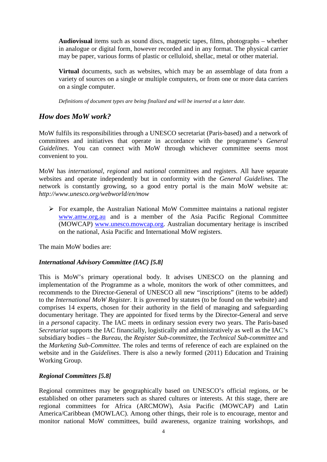**Audiovisual** items such as sound discs, magnetic tapes, films, photographs – whether in analogue or digital form, however recorded and in any format. The physical carrier may be paper, various forms of plastic or celluloid, shellac, metal or other material.

**Virtual** documents, such as websites, which may be an assemblage of data from a variety of sources on a single or multiple computers, or from one or more data carriers on a single computer.

*Definitions of document types are being finalized and will be inserted at a later date.*

## *How does MoW work?*

MoW fulfils its responsibilities through a UNESCO secretariat (Paris-based) and a network of committees and initiatives that operate in accordance with the programme's *General Guidelines*. You can connect with MoW through whichever committee seems most convenient to you.

MoW has *international*, *regional* and *national* committees and registers. All have separate websites and operate independently but in conformity with the *General Guidelines.* The network is constantly growing, so a good entry portal is the main MoW website at: *http://www.unesco.org/webworld/en/mow*

 $\triangleright$  For example, the Australian National MoW Committee maintains a national register [www.amw.org.au](http://www.amw.org.au/) and is a member of the Asia Pacific Regional Committee (MOWCAP) [www.unesco.mowcap.org.](http://www.unesco.mowcap.org/) Australian documentary heritage is inscribed on the national, Asia Pacific and International MoW registers.

The main MoW bodies are:

## *International Advisory Committee (IAC) [5.8]*

This is MoW's primary operational body. It advises UNESCO on the planning and implementation of the Programme as a whole, monitors the work of other committees, and recommends to the Director-General of UNESCO all new "inscriptions" (items to be added) to the *International MoW Register.* It is governed by statutes (to be found on the website) and comprises 14 experts, chosen for their authority in the field of managing and safeguarding documentary heritage. They are appointed for fixed terms by the Director-General and serve in a *personal* capacity. The IAC meets in ordinary session every two years. The Paris-based *Secretariat* supports the IAC financially, logistically and administratively as well as the IAC's subsidiary bodies – the *Bureau,* the *Register Sub-committee,* the *Technical Sub-committee* and the *Marketing Sub-Committee.* The roles and terms of reference of each are explained on the website and in the *Guidelines*. There is also a newly formed (2011) Education and Training Working Group.

## *Regional Committees [5.8]*

Regional committees may be geographically based on UNESCO's official regions, or be established on other parameters such as shared cultures or interests. At this stage, there are regional committees for Africa (ARCMOW), Asia Pacific (MOWCAP) and Latin America/Caribbean (MOWLAC). Among other things, their role is to encourage, mentor and monitor national MoW committees, build awareness, organize training workshops, and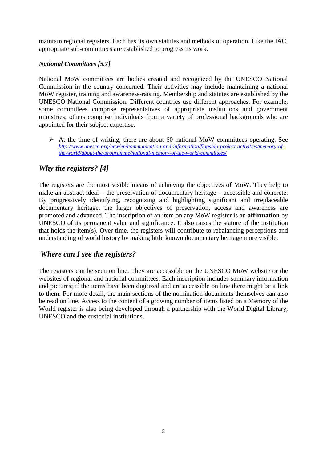maintain regional registers. Each has its own statutes and methods of operation. Like the IAC, appropriate sub-committees are established to progress its work.

## *National Committees [5.7]*

National MoW committees are bodies created and recognized by the UNESCO National Commission in the country concerned. Their activities may include maintaining a national MoW register, training and awareness-raising. Membership and statutes are established by the UNESCO National Commission. Different countries use different approaches. For example, some committees comprise representatives of appropriate institutions and government ministries; others comprise individuals from a variety of professional backgrounds who are appointed for their subject expertise.

 $\triangleright$  At the time of writing, there are about 60 national MoW committees operating. See *[http://www.unesco.org/new/en/communication-and-information/flagship-project-activities/memory-of](http://www.unesco.org/new/en/communication-and-information/flagship-project-activities/memory-of-the-world/about-the-programme/national-memory-of-the-world-committees/)[the-world/about-the-programme/national-memory-of-the-world-committees/](http://www.unesco.org/new/en/communication-and-information/flagship-project-activities/memory-of-the-world/about-the-programme/national-memory-of-the-world-committees/)*

## *Why the registers? [4]*

The registers are the most visible means of achieving the objectives of MoW. They help to make an abstract ideal – the preservation of documentary heritage – accessible and concrete. By progressively identifying, recognizing and highlighting significant and irreplaceable documentary heritage, the larger objectives of preservation, access and awareness are promoted and advanced. The inscription of an item on any MoW register is an **affirmation** by UNESCO of its permanent value and significance. It also raises the stature of the institution that holds the item(s). Over time, the registers will contribute to rebalancing perceptions and understanding of world history by making little known documentary heritage more visible.

## *Where can I see the registers?*

The registers can be seen on line. They are accessible on the UNESCO MoW website or the websites of regional and national committees. Each inscription includes summary information and pictures; if the items have been digitized and are accessible on line there might be a link to them. For more detail, the main sections of the nomination documents themselves can also be read on line. Access to the content of a growing number of items listed on a Memory of the World register is also being developed through a partnership with the World Digital Library, UNESCO and the custodial institutions.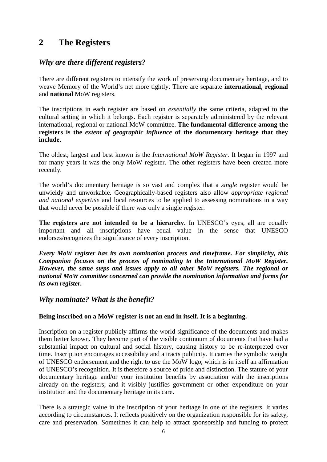## **2 The Registers**

## *Why are there different registers?*

There are different registers to intensify the work of preserving documentary heritage, and to weave Memory of the World's net more tightly. There are separate **international, regional** and **national** MoW registers.

The inscriptions in each register are based on *essentially* the same criteria, adapted to the cultural setting in which it belongs. Each register is separately administered by the relevant international, regional or national MoW committee. **The fundamental difference among the registers is the** *extent of geographic influence* **of the documentary heritage that they include.**

The oldest, largest and best known is the *International MoW Register.* It began in 1997 and for many years it was the only MoW register. The other registers have been created more recently.

The world's documentary heritage is so vast and complex that a *single* register would be unwieldy and unworkable. Geographically-based registers also allow *appropriate regional and national expertise* and local resources to be applied to assessing nominations in a way that would never be possible if there was only a single register.

**The registers are not intended to be a hierarchy.** In UNESCO's eyes, all are equally important and all inscriptions have equal value in the sense that UNESCO endorses/recognizes the significance of every inscription.

*Every MoW register has its own nomination process and timeframe. For simplicity, this Companion focuses on the process of nominating to the International MoW Register. However, the same steps and issues apply to all other MoW registers. The regional or national MoW committee concerned can provide the nomination information and forms for its own register.* 

## *Why nominate? What is the benefit?*

## **Being inscribed on a MoW register is not an end in itself. It is a beginning.**

Inscription on a register publicly affirms the world significance of the documents and makes them better known. They become part of the visible continuum of documents that have had a substantial impact on cultural and social history, causing history to be re-interpreted over time. Inscription encourages accessibility and attracts publicity. It carries the symbolic weight of UNESCO endorsement and the right to use the MoW logo, which is in itself an affirmation of UNESCO's recognition. It is therefore a source of pride and distinction. The stature of your documentary heritage and/or your institution benefits by association with the inscriptions already on the registers; and it visibly justifies government or other expenditure on your institution and the documentary heritage in its care.

There is a strategic value in the inscription of your heritage in one of the registers. It varies according to circumstances. It reflects positively on the organization responsible for its safety, care and preservation. Sometimes it can help to attract sponsorship and funding to protect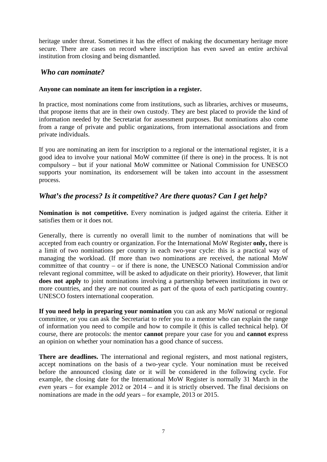heritage under threat. Sometimes it has the effect of making the documentary heritage more secure. There are cases on record where inscription has even saved an entire archival institution from closing and being dismantled.

## *Who can nominate?*

## **Anyone can nominate an item for inscription in a register.**

In practice, most nominations come from institutions, such as libraries, archives or museums, that propose items that are in their own custody. They are best placed to provide the kind of information needed by the Secretariat for assessment purposes. But nominations also come from a range of private and public organizations, from international associations and from private individuals.

If you are nominating an item for inscription to a regional or the international register, it is a good idea to involve your national MoW committee (if there is one) in the process. It is not compulsory – but if your national MoW committee or National Commission for UNESCO supports your nomination, its endorsement will be taken into account in the assessment process.

## *What's the process? Is it competitive? Are there quotas? Can I get help?*

**Nomination is not competitive.** Every nomination is judged against the criteria. Either it satisfies them or it does not.

Generally, there is currently no overall limit to the number of nominations that will be accepted from each country or organization. For the International MoW Register **only,** there is a limit of two nominations per country in each two-year cycle: this is a practical way of managing the workload. (If more than two nominations are received, the national MoW committee of that country – or if there is none, the UNESCO National Commission and/or relevant regional committee, will be asked to adjudicate on their priority). However, that limit **does not apply** to joint nominations involving a partnership between institutions in two or more countries, and they are not counted as part of the quota of each participating country. UNESCO fosters international cooperation.

**If you need help in preparing your nomination** you can ask any MoW national or regional committee, or you can ask the Secretariat to refer you to a mentor who can explain the range of information you need to compile and how to compile it (this is called technical help). Of course, there are protocols: the mentor **cannot** prepare your case for you and **cannot e**xpress an opinion on whether your nomination has a good chance of success.

**There are deadlines.** The international and regional registers, and most national registers, accept nominations on the basis of a two-year cycle. Your nomination must be received before the announced closing date or it will be considered in the following cycle. For example, the closing date for the International MoW Register is normally 31 March in the *even* years – for example 2012 or 2014 – and it is strictly observed. The final decisions on nominations are made in the *odd* years – for example, 2013 or 2015.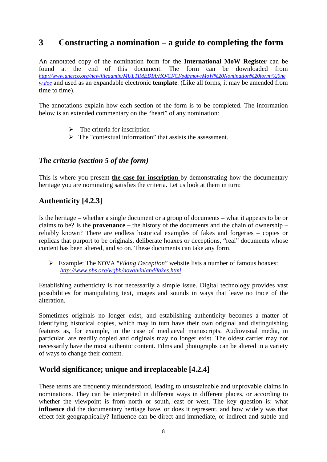## **3 Constructing a nomination – a guide to completing the form**

An annotated copy of the nomination form for the **International MoW Register** can be found at the end of this document. The form can be downloaded from *[http://www.unesco.org/new/fileadmin/MULTIMEDIA/HQ/CI/CI/pdf/mow/MoW%20Nomination%20form%20ne](http://www.unesco.org/new/fileadmin/MULTIMEDIA/HQ/CI/CI/pdf/mow/MoW%20Nomination%20form%20new.doc) [w.doc](http://www.unesco.org/new/fileadmin/MULTIMEDIA/HQ/CI/CI/pdf/mow/MoW%20Nomination%20form%20new.doc)* and used as an expandable electronic **template**. (Like all forms, it may be amended from time to time).

The annotations explain how each section of the form is to be completed. The information below is an extended commentary on the "heart" of any nomination:

- $\triangleright$  The criteria for inscription
- $\triangleright$  The "contextual information" that assists the assessment.

## *The criteria (section 5 of the form)*

This is where you present **the case for inscription** by demonstrating how the documentary heritage you are nominating satisfies the criteria. Let us look at them in turn:

## **Authenticity [4.2.3]**

Is the heritage – whether a single document or a group of documents – what it appears to be or claims to be? Is the **provenance –** the history of the documents and the chain of ownership – reliably known? There are endless historical examples of fakes and forgeries – copies or replicas that purport to be originals, deliberate hoaxes or deceptions, "real" documents whose content has been altered, and so on. These documents can take any form.

 Example: The NOVA *"Viking Deception*" website lists a number of famous hoaxes: *<http://www.pbs.org/wgbh/nova/vinland/fakes.html>*

Establishing authenticity is not necessarily a simple issue. Digital technology provides vast possibilities for manipulating text, images and sounds in ways that leave no trace of the alteration.

Sometimes originals no longer exist, and establishing authenticity becomes a matter of identifying historical copies, which may in turn have their own original and distinguishing features as, for example, in the case of mediaeval manuscripts. Audiovisual media, in particular, are readily copied and originals may no longer exist. The oldest carrier may not necessarily have the most authentic content. Films and photographs can be altered in a variety of ways to change their content.

## **World significance; unique and irreplaceable [4.2.4]**

These terms are frequently misunderstood, leading to unsustainable and unprovable claims in nominations. They can be interpreted in different ways in different places, or according to whether the viewpoint is from north or south, east or west. The key question is: what **influence** did the documentary heritage have, or does it represent, and how widely was that effect felt geographically? Influence can be direct and immediate, or indirect and subtle and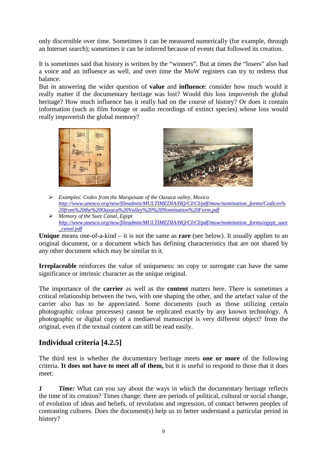only discernible over time. Sometimes it can be measured numerically (for example, through an Internet search); sometimes it can be inferred because of events that followed its creation.

It is sometimes said that history is written by the "winners". But at times the "losers" also had a voice and an influence as well, and over time the MoW registers can try to redress that balance.

But in answering the wider question of **value** and **influence**: consider how much would it really matter if the documentary heritage was lost? Would this loss impoverish the global heritage? How much influence has it really had on the course of history? Or does it contain information (such as film footage or audio recordings of extinct species) whose loss would really impoverish the global memory?





- *Examples: Codex from the Marquisate of the Oaxaca valley, Mexico [http://www.unesco.org/new/fileadmin/MULTIMEDIA/HQ/CI/CI/pdf/mow/nomination\\_forms/Codices%](http://www.unesco.org/new/fileadmin/MULTIMEDIA/HQ/CI/CI/pdf/mow/nomination_forms/Codices%20from%20the%20Oaxaca%20Valley%20%20Nomination%20Form.pdf) [20from%20the%20Oaxaca%20Valley%20%20Nomination%20Form.pdf](http://www.unesco.org/new/fileadmin/MULTIMEDIA/HQ/CI/CI/pdf/mow/nomination_forms/Codices%20from%20the%20Oaxaca%20Valley%20%20Nomination%20Form.pdf)*
- *Memory of the Suez Canal, Egypt [http://www.unesco.org/new/fileadmin/MULTIMEDIA/HQ/CI/CI/pdf/mow/nomination\\_forms/egypt\\_suez](http://www.unesco.org/new/fileadmin/MULTIMEDIA/HQ/CI/CI/pdf/mow/nomination_forms/egypt_suez_canal.pdf) [\\_canal.pdf](http://www.unesco.org/new/fileadmin/MULTIMEDIA/HQ/CI/CI/pdf/mow/nomination_forms/egypt_suez_canal.pdf)*

**Unique** means one-of-a-kind – it is not the same as **rare** (see below). It usually applies to an original document, or a document which has defining characteristics that are not shared by any other document which may be similar to it.

**Irreplaceable** reinforces the value of uniqueness: no copy or surrogate can have the same significance or intrinsic character as the unique original.

The importance of the **carrier** as well as the **content** matters here. There is sometimes a critical relationship between the two, with one shaping the other, and the artefact value of the carrier also has to be appreciated. Some documents (such as those utilizing certain photographic colour processes) cannot be replicated exactly by any known technology. A photographic or digital copy of a mediaeval manuscript is very different object? from the original, even if the textual content can still be read easily.

## **Individual criteria [4.2.5]**

The third test is whether the documentary heritage meets **one or more** of the following criteria. **It does not have to meet all of them,** but it is useful to respond to those that it does meet:

*1 Time:* What can you say about the ways in which the documentary heritage reflects the time of its creation? Times change: there are periods of political, cultural or social change, of evolution of ideas and beliefs, of revolution and regression, of contact between peoples of contrasting cultures. Does the document(s) help us to better understand a particular period in history?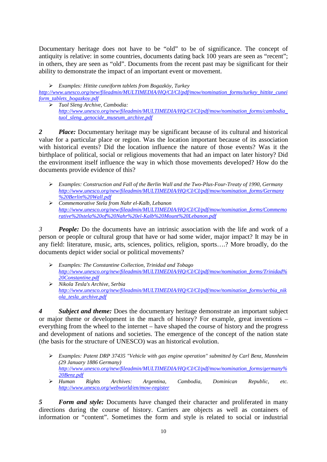Documentary heritage does not have to be "old" to be of significance. The concept of antiquity is relative: in some countries, documents dating back 100 years are seen as "recent"; in others, they are seen as "old". Documents from the recent past may be significant for their ability to demonstrate the impact of an important event or movement.

*Examples: Hittite cuneiform tablets from Bogazköy, Turkey*

*[http://www.unesco.org/new/fileadmin/MULTIMEDIA/HQ/CI/CI/pdf/mow/nomination\\_forms/turkey\\_hittite\\_cunei](http://www.unesco.org/new/fileadmin/MULTIMEDIA/HQ/CI/CI/pdf/mow/nomination_forms/turkey_hittite_cuneiform_tablets_bogazkoy.pdf) [form\\_tablets\\_bogazkoy.pdf](http://www.unesco.org/new/fileadmin/MULTIMEDIA/HQ/CI/CI/pdf/mow/nomination_forms/turkey_hittite_cuneiform_tablets_bogazkoy.pdf)*

 *Tuol Sleng Archive, Cambodia: [http://www.unesco.org/new/fileadmin/MULTIMEDIA/HQ/CI/CI/pdf/mow/nomination\\_forms/cambodia\\_](http://www.unesco.org/new/fileadmin/MULTIMEDIA/HQ/CI/CI/pdf/mow/nomination_forms/cambodia_tuol_sleng_genocide_museum_archive.pdf) [tuol\\_sleng\\_genocide\\_museum\\_archive.pdf](http://www.unesco.org/new/fileadmin/MULTIMEDIA/HQ/CI/CI/pdf/mow/nomination_forms/cambodia_tuol_sleng_genocide_museum_archive.pdf)*

*2 Place:* Documentary heritage may be significant because of its cultural and historical value for a particular place or region. Was the location important because of its association with historical events? Did the location influence the nature of those events? Was it the birthplace of political, social or religious movements that had an impact on later history? Did the environment itself influence the way in which those movements developed? How do the documents provide evidence of this?

- *Examples: Construction and Fall of the Berlin Wall and the Two-Plus-Four-Treaty of 1990, Germany [http://www.unesco.org/new/fileadmin/MULTIMEDIA/HQ/CI/CI/pdf/mow/nomination\\_forms/Germany](http://www.unesco.org/new/fileadmin/MULTIMEDIA/HQ/CI/CI/pdf/mow/nomination_forms/Germany%20Berlin%20Wall.pdf) [%20Berlin%20Wall.pdf](http://www.unesco.org/new/fileadmin/MULTIMEDIA/HQ/CI/CI/pdf/mow/nomination_forms/Germany%20Berlin%20Wall.pdf)*
- *Commemorative Stela from Nahr el-Kalb, Lebanon [http://www.unesco.org/new/fileadmin/MULTIMEDIA/HQ/CI/CI/pdf/mow/nomination\\_forms/Commemo](http://www.unesco.org/new/fileadmin/MULTIMEDIA/HQ/CI/CI/pdf/mow/nomination_forms/Commemorative%20stela%20of%20Nahr%20el-Kalb%20Mount%20Lebanon.pdf) [rative%20stela%20of%20Nahr%20el-Kalb%20Mount%20Lebanon.pdf](http://www.unesco.org/new/fileadmin/MULTIMEDIA/HQ/CI/CI/pdf/mow/nomination_forms/Commemorative%20stela%20of%20Nahr%20el-Kalb%20Mount%20Lebanon.pdf)*

*3 People:* Do the documents have an intrinsic association with the life and work of a person or people or cultural group that have or had some wider, major impact? It may be in any field: literature, music, arts, sciences, politics, religion, sports….? More broadly, do the documents depict wider social or political movements?

- *Examples: The Constantine Collection, Trinidad and Tobago [http://www.unesco.org/new/fileadmin/MULTIMEDIA/HQ/CI/CI/pdf/mow/nomination\\_forms/Trinidad%](http://www.unesco.org/new/fileadmin/MULTIMEDIA/HQ/CI/CI/pdf/mow/nomination_forms/Trinidad%20Constantine.pdf) [20Constantine.pdf](http://www.unesco.org/new/fileadmin/MULTIMEDIA/HQ/CI/CI/pdf/mow/nomination_forms/Trinidad%20Constantine.pdf)*
- *Nikola Tesla's Archive, Serbia [http://www.unesco.org/new/fileadmin/MULTIMEDIA/HQ/CI/CI/pdf/mow/nomination\\_forms/serbia\\_nik](http://www.unesco.org/new/fileadmin/MULTIMEDIA/HQ/CI/CI/pdf/mow/nomination_forms/serbia_nikola_tesla_archive.pdf) [ola\\_tesla\\_archive.pdf](http://www.unesco.org/new/fileadmin/MULTIMEDIA/HQ/CI/CI/pdf/mow/nomination_forms/serbia_nikola_tesla_archive.pdf)*

*4 Subject and theme:* Does the documentary heritage demonstrate an important subject or major theme or development in the march of history? For example, great inventions – everything from the wheel to the internet – have shaped the course of history and the progress and development of nations and societies. The emergence of the concept of the nation state (the basis for the structure of UNESCO) was an historical evolution.

- *Examples: Patent DRP 37435 "Vehicle with gas engine operation" submitted by Carl Benz, Mannheim (29 January 1886 Germany) [http://www.unesco.org/new/fileadmin/MULTIMEDIA/HQ/CI/CI/pdf/mow/nomination\\_forms/germany%](http://www.unesco.org/new/fileadmin/MULTIMEDIA/HQ/CI/CI/pdf/mow/nomination_forms/germany%20Benz.pdf) [20Benz.pdf](http://www.unesco.org/new/fileadmin/MULTIMEDIA/HQ/CI/CI/pdf/mow/nomination_forms/germany%20Benz.pdf)*
- *Human Rights Archives: Argentina, Cambodia, Dominican Republic, etc. <http://www.unesco.org/webworld/en/mow-register>*

*5 Form and style:* Documents have changed their character and proliferated in many directions during the course of history. Carriers are objects as well as containers of information or "content". Sometimes the form and style is related to social or industrial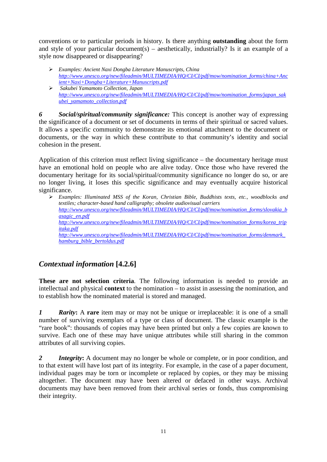conventions or to particular periods in history. Is there anything **outstanding** about the form and style of your particular document(s) – aesthetically, industrially? Is it an example of a style now disappeared or disappearing?

- *Examples: Ancient Naxi Dongba Literature Manuscripts, China [http://www.unesco.org/new/fileadmin/MULTIMEDIA/HQ/CI/CI/pdf/mow/nomination\\_forms/china+Anc](http://www.unesco.org/new/fileadmin/MULTIMEDIA/HQ/CI/CI/pdf/mow/nomination_forms/china+Ancient+Naxi+Dongba+Literature+Manuscripts.pdf) [ient+Naxi+Dongba+Literature+Manuscripts.pdf](http://www.unesco.org/new/fileadmin/MULTIMEDIA/HQ/CI/CI/pdf/mow/nomination_forms/china+Ancient+Naxi+Dongba+Literature+Manuscripts.pdf)*
- *Sakubei Yamamoto Collection, Japan [http://www.unesco.org/new/fileadmin/MULTIMEDIA/HQ/CI/CI/pdf/mow/nomination\\_forms/japan\\_sak](http://www.unesco.org/new/fileadmin/MULTIMEDIA/HQ/CI/CI/pdf/mow/nomination_forms/japan_sakubei_yamamoto_collection.pdf) [ubei\\_yamamoto\\_collection.pdf](http://www.unesco.org/new/fileadmin/MULTIMEDIA/HQ/CI/CI/pdf/mow/nomination_forms/japan_sakubei_yamamoto_collection.pdf)*

*6 Social/spiritual/community significance:* This concept is another way of expressing the significance of a document or set of documents in terms of their spiritual or sacred values. It allows a specific community to demonstrate its emotional attachment to the document or documents, or the way in which these contribute to that community's identity and social cohesion in the present.

Application of this criterion must reflect living significance – the documentary heritage must have an emotional hold on people who are alive today. Once those who have revered the documentary heritage for its social/spiritual/community significance no longer do so, or are no longer living, it loses this specific significance and may eventually acquire historical significance.

 *Examples: Illuminated MSS of the Koran, Christian Bible, Buddhists texts, etc., woodblocks and textiles; character-based hand calligraphy; obsolete audiovisual carriers [http://www.unesco.org/new/fileadmin/MULTIMEDIA/HQ/CI/CI/pdf/mow/nomination\\_forms/slovakia\\_b](http://www.unesco.org/new/fileadmin/MULTIMEDIA/HQ/CI/CI/pdf/mow/nomination_forms/slovakia_basagic_en.pdf) [asagic\\_en.pdf](http://www.unesco.org/new/fileadmin/MULTIMEDIA/HQ/CI/CI/pdf/mow/nomination_forms/slovakia_basagic_en.pdf) [http://www.unesco.org/new/fileadmin/MULTIMEDIA/HQ/CI/CI/pdf/mow/nomination\\_forms/korea\\_trip](http://www.unesco.org/new/fileadmin/MULTIMEDIA/HQ/CI/CI/pdf/mow/nomination_forms/korea_tripitaka.pdf) [itaka.pdf](http://www.unesco.org/new/fileadmin/MULTIMEDIA/HQ/CI/CI/pdf/mow/nomination_forms/korea_tripitaka.pdf) [http://www.unesco.org/new/fileadmin/MULTIMEDIA/HQ/CI/CI/pdf/mow/nomination\\_forms/denmark\\_](http://www.unesco.org/new/fileadmin/MULTIMEDIA/HQ/CI/CI/pdf/mow/nomination_forms/denmark_hamburg_bible_bertoldus.pdf) [hamburg\\_bible\\_bertoldus.pdf](http://www.unesco.org/new/fileadmin/MULTIMEDIA/HQ/CI/CI/pdf/mow/nomination_forms/denmark_hamburg_bible_bertoldus.pdf)*

## *Contextual information* **[4.2.6]**

**These are not selection criteria**. The following information is needed to provide an intellectual and physical **context** to the nomination – to assist in assessing the nomination, and to establish how the nominated material is stored and managed.

*1 Rarity***:** A **rare** item may or may not be unique or irreplaceable: it is one of a small number of surviving exemplars of a type or class of document. The classic example is the "rare book": thousands of copies may have been printed but only a few copies are known to survive. Each one of these may have unique attributes while still sharing in the common attributes of all surviving copies.

*2 Integrity***:** A document may no longer be whole or complete, or in poor condition, and to that extent will have lost part of its integrity. For example, in the case of a paper document, individual pages may be torn or incomplete or replaced by copies, or they may be missing altogether. The document may have been altered or defaced in other ways. Archival documents may have been removed from their archival series or fonds, thus compromising their integrity.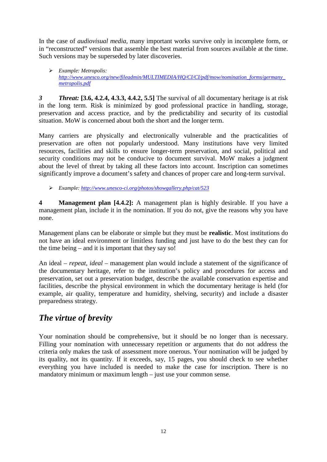In the case of *audiovisual media,* many important works survive only in incomplete form, or in "reconstructed" versions that assemble the best material from sources available at the time. Such versions may be superseded by later discoveries.

 *Example: Metropolis: [http://www.unesco.org/new/fileadmin/MULTIMEDIA/HQ/CI/CI/pdf/mow/nomination\\_forms/germany\\_](http://www.unesco.org/new/fileadmin/MULTIMEDIA/HQ/CI/CI/pdf/mow/nomination_forms/germany_metropolis.pdf) [metropolis.pdf](http://www.unesco.org/new/fileadmin/MULTIMEDIA/HQ/CI/CI/pdf/mow/nomination_forms/germany_metropolis.pdf)*

*3 Threat:* **[3.6, 4.2.4, 4.3.3, 4.4.2, 5.5]** The survival of all documentary heritage is at risk in the long term. Risk is minimized by good professional practice in handling, storage, preservation and access practice, and by the predictability and security of its custodial situation. MoW is concerned about both the short and the longer term.

Many carriers are physically and electronically vulnerable and the practicalities of preservation are often not popularly understood. Many institutions have very limited resources, facilities and skills to ensure longer-term preservation, and social, political and security conditions may not be conducive to document survival. MoW makes a judgment about the level of threat by taking all these factors into account. Inscription can sometimes significantly improve a document's safety and chances of proper care and long-term survival.

*Example[: http://www.unesco-ci.org/photos/showgallery.php/cat/523](http://www.unesco-ci.org/photos/showgallery.php/cat/523)*

**4 Management plan [4.4.2]:** A management plan is highly desirable. If you have a management plan, include it in the nomination. If you do not, give the reasons why you have none.

Management plans can be elaborate or simple but they must be **realistic**. Most institutions do not have an ideal environment or limitless funding and just have to do the best they can for the time being – and it is important that they say so!

An ideal – *repeat, ideal* – management plan would include a statement of the significance of the documentary heritage, refer to the institution's policy and procedures for access and preservation, set out a preservation budget, describe the available conservation expertise and facilities, describe the physical environment in which the documentary heritage is held (for example, air quality, temperature and humidity, shelving, security) and include a disaster preparedness strategy.

## *The virtue of brevity*

Your nomination should be comprehensive, but it should be no longer than is necessary. Filling your nomination with unnecessary repetition or arguments that do not address the criteria only makes the task of assessment more onerous. Your nomination will be judged by its quality, not its quantity. If it exceeds, say, 15 pages, you should check to see whether everything you have included is needed to make the case for inscription. There is no mandatory minimum or maximum length – just use your common sense.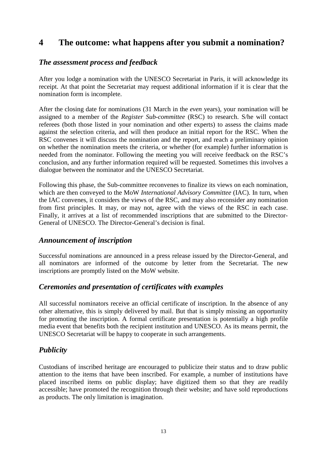## **4 The outcome: what happens after you submit a nomination?**

## *The assessment process and feedback*

After you lodge a nomination with the UNESCO Secretariat in Paris, it will acknowledge its receipt. At that point the Secretariat may request additional information if it is clear that the nomination form is incomplete.

After the closing date for nominations (31 March in the *even* years), your nomination will be assigned to a member of the *Register Sub-committee* (RSC) to research. S/he will contact referees (both those listed in your nomination and other experts) to assess the claims made against the selection criteria, and will then produce an initial report for the RSC. When the RSC convenes it will discuss the nomination and the report, and reach a preliminary opinion on whether the nomination meets the criteria, or whether (for example) further information is needed from the nominator. Following the meeting you will receive feedback on the RSC's conclusion, and any further information required will be requested. Sometimes this involves a dialogue between the nominator and the UNESCO Secretariat.

Following this phase, the Sub-committee reconvenes to finalize its views on each nomination, which are then conveyed to the MoW *International Advisory Committee* (IAC). In turn, when the IAC convenes, it considers the views of the RSC, and may also reconsider any nomination from first principles. It may, or may not, agree with the views of the RSC in each case. Finally, it arrives at a list of recommended inscriptions that are submitted to the Director-General of UNESCO. The Director-General's decision is final.

## *Announcement of inscription*

Successful nominations are announced in a press release issued by the Director-General, and all nominators are informed of the outcome by letter from the Secretariat. The new inscriptions are promptly listed on the MoW website.

## *Ceremonies and presentation of certificates with examples*

All successful nominators receive an official certificate of inscription. In the absence of any other alternative, this is simply delivered by mail. But that is simply missing an opportunity for promoting the inscription. A formal certificate presentation is potentially a high profile media event that benefits both the recipient institution and UNESCO. As its means permit, the UNESCO Secretariat will be happy to cooperate in such arrangements.

## *Publicity*

Custodians of inscribed heritage are encouraged to publicize their status and to draw public attention to the items that have been inscribed. For example, a number of institutions have placed inscribed items on public display; have digitized them so that they are readily accessible; have promoted the recognition through their website; and have sold reproductions as products. The only limitation is imagination.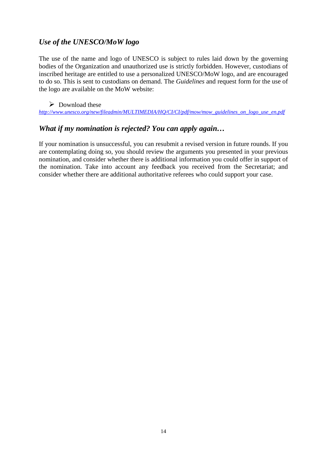## *Use of the UNESCO/MoW logo*

The use of the name and logo of UNESCO is subject to rules laid down by the governing bodies of the Organization and unauthorized use is strictly forbidden. However, custodians of inscribed heritage are entitled to use a personalized UNESCO/MoW logo, and are encouraged to do so. This is sent to custodians on demand. The *Guidelines* and request form for the use of the logo are available on the MoW website:

## $\triangleright$  Download these

*[http://www.unesco.org/new/fileadmin/MULTIMEDIA/HQ/CI/CI/pdf/mow/mow\\_guidelines\\_on\\_logo\\_use\\_en.pdf](http://www.unesco.org/new/fileadmin/MULTIMEDIA/HQ/CI/CI/pdf/mow/mow_guidelines_on_logo_use_en.pdf)*

## *What if my nomination is rejected? You can apply again…*

If your nomination is unsuccessful, you can resubmit a revised version in future rounds. If you are contemplating doing so, you should review the arguments you presented in your previous nomination, and consider whether there is additional information you could offer in support of the nomination. Take into account any feedback you received from the Secretariat; and consider whether there are additional authoritative referees who could support your case.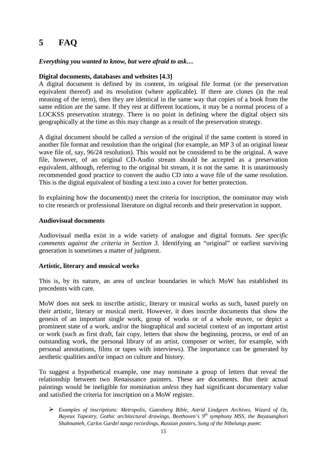## **5 FAQ**

## *Everything you wanted to know, but were afraid to ask…*

## **Digital documents, databases and websites [4.3]**

A digital document is defined by its content, its original file format (or the preservation equivalent thereof) and its resolution (where applicable). If there are clones (in the real meaning of the term), then they are identical in the same way that copies of a book from the same edition are the same. If they rest at different locations, it may be a normal process of a LOCKSS preservation strategy. There is no point in defining where the digital object sits geographically at the time as this may change as a result of the preservation strategy.

A digital document should be called a *version* of the original if the same content is stored in another file format and resolution than the original (for example, an MP 3 of an original linear wave file of, say, 96/24 resolution). This would not be considered to be the original. A wave file, however, of an original CD-Audio stream should be accepted as a preservation equivalent, although, referring to the original bit stream, it is not the same. It is unanimously recommended good practice to convert the audio CD into a wave file of the same resolution. This is the digital equivalent of binding a text into a cover for better protection.

In explaining how the document(s) meet the criteria for inscription, the nominator may wish to cite research or professional literature on digital records and their preservation in support.

## **Audiovisual documents**

Audiovisual media exist in a wide variety of analogue and digital formats. *See specific comments against the criteria in Section 3.* Identifying an "original" or earliest surviving generation is sometimes a matter of judgment.

## **Artistic, literary and musical works**

This is, by its nature, an area of unclear boundaries in which MoW has established its precedents with care.

MoW does not seek to inscribe artistic, literary or musical works as such, based purely on their artistic, literary or musical merit. However, it does inscribe documents that show the genesis of an important single work, group of works or of a whole œuvre, or depict a prominent state of a work, and/or the biographical and societal context of an important artist or work (such as first draft, fair copy, letters that show the beginning, process, or end of an outstanding work, the personal library of an artist, composer or writer, for example, with personal annotations, films or tapes with interviews). The importance can be generated by aesthetic qualities and/or impact on culture and history.

To suggest a hypothetical example, one may nominate a group of letters that reveal the relationship between two Renaissance painters. These are documents. But their actual paintings would be ineligible for nomination *unless* they had significant documentary value and satisfied the criteria for inscription on a MoW register.

 *Examples of inscriptions: Metropolis, Gutenberg Bible, Astrid Lindgren Archives, Wizard of Oz, Bayeux Tapestry, Gothic architectural drawings, Beethoven's 9th symphony MSS, the Bayasanghori Shahnameh, Carlos Gardel tango recordings, Russian posters, Song of the Nibelungs poem*: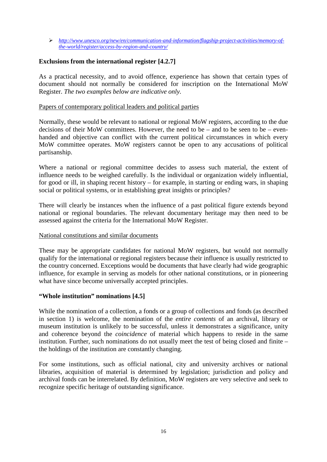*[http://www.unesco.org/new/en/communication-and-information/flagship-project-activities/memory-of](http://www.unesco.org/new/en/communication-and-information/flagship-project-activities/memory-of-the-world/register/access-by-region-and-country/)[the-world/register/access-by-region-and-country/](http://www.unesco.org/new/en/communication-and-information/flagship-project-activities/memory-of-the-world/register/access-by-region-and-country/)*

## **Exclusions from the international register [4.2.7]**

As a practical necessity, and to avoid offence, experience has shown that certain types of document should not normally be considered for inscription on the International MoW Register. *The two examples below are indicative only.*

## Papers of contemporary political leaders and political parties

Normally, these would be relevant to national or regional MoW registers, according to the due decisions of their MoW committees. However, the need to be – and to be seen to be – evenhanded and objective can conflict with the current political circumstances in which every MoW committee operates. MoW registers cannot be open to any accusations of political partisanship.

Where a national or regional committee decides to assess such material, the extent of influence needs to be weighed carefully. Is the individual or organization widely influential, for good or ill, in shaping recent history – for example, in starting or ending wars, in shaping social or political systems, or in establishing great insights or principles?

There will clearly be instances when the influence of a past political figure extends beyond national or regional boundaries. The relevant documentary heritage may then need to be assessed against the criteria for the International MoW Register.

## National constitutions and similar documents

These may be appropriate candidates for national MoW registers, but would not normally qualify for the international or regional registers because their influence is usually restricted to the country concerned. Exceptions would be documents that have clearly had wide geographic influence, for example in serving as models for other national constitutions, or in pioneering what have since become universally accepted principles.

## **"Whole institution" nominations [4.5]**

While the nomination of a collection, a fonds or a group of collections and fonds (as described in section 1) is welcome, the nomination of the *entire contents* of an archival, library or museum institution is unlikely to be successful, unless it demonstrates a significance, unity and coherence beyond the *coincidence* of material which happens to reside in the same institution. Further, such nominations do not usually meet the test of being closed and finite – the holdings of the institution are constantly changing.

For some institutions, such as official national, city and university archives or national libraries, acquisition of material is determined by legislation; jurisdiction and policy and archival fonds can be interrelated. By definition, MoW registers are very selective and seek to recognize specific heritage of outstanding significance.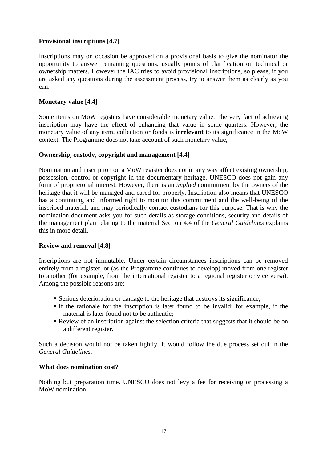## **Provisional inscriptions [4.7]**

Inscriptions may on occasion be approved on a provisional basis to give the nominator the opportunity to answer remaining questions, usually points of clarification on technical or ownership matters. However the IAC tries to avoid provisional inscriptions, so please, if you are asked any questions during the assessment process, try to answer them as clearly as you can.

## **Monetary value [4.4]**

Some items on MoW registers have considerable monetary value. The very fact of achieving inscription may have the effect of enhancing that value in some quarters. However, the monetary value of any item, collection or fonds is **irrelevant** to its significance in the MoW context. The Programme does not take account of such monetary value,

## **Ownership, custody, copyright and management [4.4]**

Nomination and inscription on a MoW register does not in any way affect existing ownership, possession, control or copyright in the documentary heritage. UNESCO does not gain any form of proprietorial interest. However, there is an *implied* commitment by the owners of the heritage that it will be managed and cared for properly. Inscription also means that UNESCO has a continuing and informed right to monitor this commitment and the well-being of the inscribed material, and may periodically contact custodians for this purpose. That is why the nomination document asks you for such details as storage conditions, security and details of the management plan relating to the material Section 4.4 of the *General Guidelines* explains this in more detail.

## **Review and removal [4.8]**

Inscriptions are not immutable. Under certain circumstances inscriptions can be removed entirely from a register, or (as the Programme continues to develop) moved from one register to another (for example, from the international register to a regional register or vice versa). Among the possible reasons are:

- Serious deterioration or damage to the heritage that destroys its significance;
- If the rationale for the inscription is later found to be invalid: for example, if the material is later found not to be authentic;
- Review of an inscription against the selection criteria that suggests that it should be on a different register.

Such a decision would not be taken lightly. It would follow the due process set out in the *General Guidelines.*

## **What does nomination cost?**

Nothing but preparation time. UNESCO does not levy a fee for receiving or processing a MoW nomination.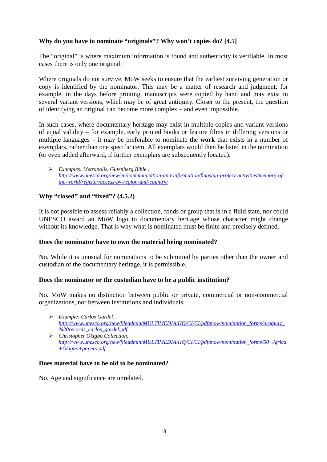## **Why do you have to nominate "originals"? Why won't copies do? [4.5]**

The "original" is where maximum information is found and authenticity is verifiable. In most cases there is only one original.

Where originals do not survive, MoW seeks to ensure that the earliest surviving generation or copy is identified by the nominator. This may be a matter of research and judgment; for example, in the days before printing, manuscripts were copied by hand and may exist in several variant versions, which may be of great antiquity. Closer to the present, the question of identifying an original can become more complex – and even impossible.

In such cases, where documentary heritage may exist in multiple copies and variant versions of equal validity – for example, early printed books or feature films in differing versions or multiple languages – it may be preferable to nominate the **work** that exists in a number of exemplars, rather than one specific item. All exemplars would then be listed in the nomination (or even added afterward, if further exemplars are subsequently located).

 *Examples: Metropolis, Gutenberg Bible : [http://www.unesco.org/new/en/communication-and-information/flagship-project-activities/memory-of](http://www.unesco.org/new/en/communication-and-information/flagship-project-activities/memory-of-the-world/register/access-by-region-and-country/)[the-world/register/access-by-region-and-country/](http://www.unesco.org/new/en/communication-and-information/flagship-project-activities/memory-of-the-world/register/access-by-region-and-country/)*

## **Why "closed" and "fixed"? (4.5.2)**

It is not possible to assess reliably a collection, fonds or group that is in a fluid state, nor could UNESCO award an MoW logo to documentary heritage whose character might change without its knowledge. That is why what is nominated must be finite and precisely defined.

## **Does the nominator have to own the material being nominated?**

No. While it is unusual for nominations to be submitted by parties other than the owner and custodian of the documentary heritage, it is permissible.

## **Does the nominator or the custodian have to be a public institution?**

No. MoW makes no distinction between public or private, commercial or non-commercial organizations, nor between institutions and individuals.

- *Example: Carlos Gardel: [http://www.unesco.org/new/fileadmin/MULTIMEDIA/HQ/CI/CI/pdf/mow/nomination\\_forms/uruguay\\_](http://www.unesco.org/new/fileadmin/MULTIMEDIA/HQ/CI/CI/pdf/mow/nomination_forms/uruguay_%20records_carlos_gardel.pdf) [%20records\\_carlos\\_gardel.pdf](http://www.unesco.org/new/fileadmin/MULTIMEDIA/HQ/CI/CI/pdf/mow/nomination_forms/uruguay_%20records_carlos_gardel.pdf)*
- *Christopher Okigbo Collection: [http://www.unesco.org/new/fileadmin/MULTIMEDIA/HQ/CI/CI/pdf/mow/nomination\\_forms/50+Africa](http://www.unesco.org/new/fileadmin/MULTIMEDIA/HQ/CI/CI/pdf/mow/nomination_forms/50+Africa+Okigbo+papers.pdf) [+Okigbo+papers.pdf](http://www.unesco.org/new/fileadmin/MULTIMEDIA/HQ/CI/CI/pdf/mow/nomination_forms/50+Africa+Okigbo+papers.pdf)*

## **Does material have to be old to be nominated?**

No. Age and significance are unrelated.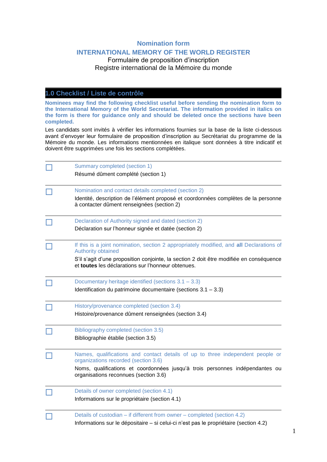## **Nomination form**

## **INTERNATIONAL MEMORY OF THE WORLD REGISTER**

## Formulaire de proposition d'inscription Registre international de la Mémoire du monde

## **1.0 Checklist / Liste de contrôle**

**Nominees may find the following checklist useful before sending the nomination form to the International Memory of the World Secretariat. The information provided in italics on the form is there for guidance only and should be deleted once the sections have been completed.**

Les candidats sont invités à vérifier les informations fournies sur la base de la liste ci-dessous avant d'envoyer leur formulaire de proposition d'inscription au Secrétariat du programme de la Mémoire du monde. Les informations mentionnées en italique sont données à titre indicatif et doivent être supprimées une fois les sections complétées.

|  | Summary completed (section 1)                                                                                                                 |  |  |
|--|-----------------------------------------------------------------------------------------------------------------------------------------------|--|--|
|  | Résumé dûment complété (section 1)                                                                                                            |  |  |
|  | Nomination and contact details completed (section 2)                                                                                          |  |  |
|  | Identité, description de l'élément proposé et coordonnées complètes de la personne<br>à contacter dûment renseignées (section 2)              |  |  |
|  | Declaration of Authority signed and dated (section 2)                                                                                         |  |  |
|  | Déclaration sur l'honneur signée et datée (section 2)                                                                                         |  |  |
|  | If this is a joint nomination, section 2 appropriately modified, and all Declarations of<br>Authority obtained                                |  |  |
|  | S'il s'agit d'une proposition conjointe, la section 2 doit être modifiée en conséquence<br>et toutes les déclarations sur l'honneur obtenues. |  |  |
|  | Documentary heritage identified (sections $3.1 - 3.3$ )                                                                                       |  |  |
|  | Identification du patrimoine documentaire (sections $3.1 - 3.3$ )                                                                             |  |  |
|  | History/provenance completed (section 3.4)                                                                                                    |  |  |
|  | Histoire/provenance dûment renseignées (section 3.4)                                                                                          |  |  |
|  | Bibliography completed (section 3.5)                                                                                                          |  |  |
|  | Bibliographie établie (section 3.5)                                                                                                           |  |  |
|  | Names, qualifications and contact details of up to three independent people or<br>organizations recorded (section 3.6)                        |  |  |
|  | Noms, qualifications et coordonnées jusqu'à trois personnes indépendantes ou<br>organisations reconnues (section 3.6)                         |  |  |
|  | Details of owner completed (section 4.1)                                                                                                      |  |  |
|  | Informations sur le propriétaire (section 4.1)                                                                                                |  |  |
|  | Details of custodian - if different from owner - completed (section 4.2)                                                                      |  |  |
|  | Informations sur le dépositaire - si celui-ci n'est pas le propriétaire (section 4.2)                                                         |  |  |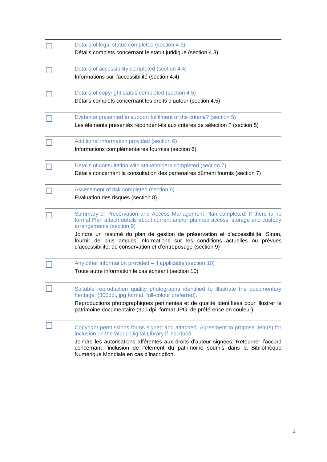| Details of legal status completed (section 4.3)                                                                                                                                                                                 |
|---------------------------------------------------------------------------------------------------------------------------------------------------------------------------------------------------------------------------------|
| Détails complets concernant le statut juridique (section 4.3)                                                                                                                                                                   |
| Details of accessibility completed (section 4.4)                                                                                                                                                                                |
| Informations sur l'accessibilité (section 4.4)                                                                                                                                                                                  |
| Details of copyright status completed (section 4.5)                                                                                                                                                                             |
| Détails complets concernant les droits d'auteur (section 4.5)                                                                                                                                                                   |
| Evidence presented to support fulfilment of the criteria? (section 5)                                                                                                                                                           |
| Les éléments présentés répondent-ils aux critères de sélection ? (section 5)                                                                                                                                                    |
| Additional information provided (section 6)                                                                                                                                                                                     |
| Informations complémentaires fournies (section 6)                                                                                                                                                                               |
| Details of consultation with stakeholders completed (section 7)                                                                                                                                                                 |
| Détails concernant la consultation des partenaires dûment fournis (section 7)                                                                                                                                                   |
| Assessment of risk completed (section 8)                                                                                                                                                                                        |
| Evaluation des risques (section 8)                                                                                                                                                                                              |
| Summary of Preservation and Access Management Plan completed. If there is no<br>formal Plan attach details about current and/or planned access, storage and custody<br>arrangements (section 9)                                 |
| Joindre un résumé du plan de gestion de préservation et d'accessibilité. Sinon,<br>fournir de plus amples informations sur les conditions actuelles ou prévues<br>d'accessibilité, de conservation et d'entreposage (section 9) |
| Any other information provided - if applicable (section 10)                                                                                                                                                                     |
| Toute autre information le cas échéant (section 10)                                                                                                                                                                             |
| Suitable reproduction quality photographs identified to illustrate the documentary                                                                                                                                              |
| heritage. (300dpi, jpg format, full-colour preferred).<br>Reproductions photographiques pertinentes et de qualité identifiées pour illustrer le                                                                                 |
| patrimoine documentaire (300 dpi, format JPG, de préférence en couleur)                                                                                                                                                         |
| Copyright permissions forms signed and attached. Agreement to propose item(s) for<br>inclusion on the World Digital Library if inscribed                                                                                        |
| Joindre les autorisations afférentes aux droits d'auteur signées. Retourner l'accord<br>concernant l'inclusion de l'élément du patrimoine soumis dans la Bibliothèque<br>Numérique Mondiale en cas d'inscription.               |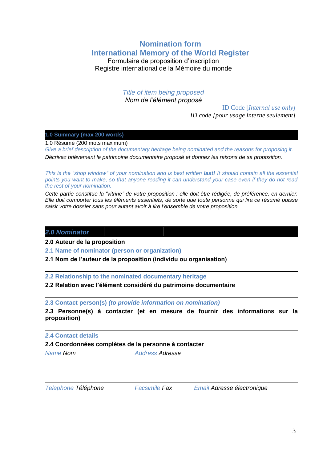## **Nomination form International Memory of the World Register**

Formulaire de proposition d'inscription Registre international de la Mémoire du monde

## *Title of item being proposed*

*Nom de l'élément proposé*

ID Code [*Internal use only]*

*ID code [pour usage interne seulement]*

## **1.0 Summary (max 200 words)**

1.0 Résumé (200 mots maximum)

*Give a brief description of the documentary heritage being nominated and the reasons for proposing it. Décrivez brièvement le patrimoine documentaire proposé et donnez les raisons de sa proposition.*

*This is the "shop window" of your nomination and is best written <i>last!* It should contain all the essential *points you want to make, so that anyone reading it can understand your case even if they do not read the rest of your nomination.*

*Cette partie constitue la "vitrine" de votre proposition : elle doit être rédigée, de préférence, en dernier. Elle doit comporter tous les éléments essentiels, de sorte que toute personne qui lira ce résumé puisse saisir votre dossier sans pour autant avoir à lire l'ensemble de votre proposition.*

## *2.0 Nominator*

**2.0 Auteur de la proposition**

**2.1 Name of nominator (person or organization)**

**2.1 Nom de l'auteur de la proposition (individu ou organisation)**

**2.2 Relationship to the nominated documentary heritage**

## **2.2 Relation avec l'élément considéré du patrimoine documentaire**

**2.3 Contact person(s)** *(to provide information on nomination)*

**2.3 Personne(s) à contacter (et en mesure de fournir des informations sur la proposition)**

*2***.4 Contact details**

## **2.4 Coordonnées complètes de la personne à contacter**

*Name Nom Address Adresse*

*Telephone Téléphone Facsimile Fax Email Adresse électronique*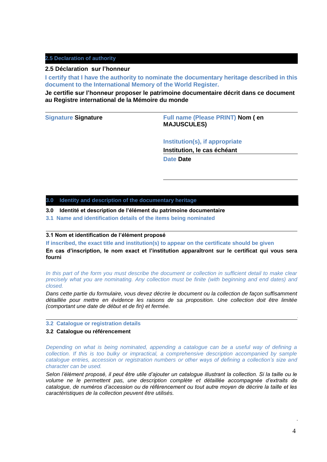## **2.5 Declaration of authority**

### **2.5 Déclaration sur l'honneur**

**I certify that I have the authority to nominate the documentary heritage described in this document to the International Memory of the World Register.**

**Je certifie sur l'honneur proposer le patrimoine documentaire décrit dans ce document au Registre international de la Mémoire du monde**

**Signature Signature Full name (Please PRINT) Nom ( en MAJUSCULES)**

## **Institution(s), if appropriate**

**Institution, le cas échéant**

**Date Date**

### **3.0 Identity and description of the documentary heritage**

- **3.0 Identité et description de l'élément du patrimoine documentaire**
- **3.1 Name and identification details of the items being nominated**

### **3.1 Nom et identification de l'élément proposé**

**If inscribed, the exact title and institution(s) to appear on the certificate should be given**

**En cas d'inscription, le nom exact et l'institution apparaîtront sur le certificat qui vous sera fourni**

*In this part of the form you must describe the document or collection in sufficient detail to make clear precisely what you are nominating. Any collection must be finite (with beginning and end dates) and closed.*

*Dans cette partie du formulaire, vous devez décrire le document ou la collection de façon suffisamment détaillée pour mettre en évidence les raisons de sa proposition. Une collection doit être limitée (comportant une date de début et de fin) et fermée.* 

### **3.2 Catalogue or registration details**

### **3.2 Catalogue ou référencement**

*Depending on what is being nominated, appending a catalogue can be a useful way of defining a collection. If this is too bulky or impractical, a comprehensive description accompanied by sample catalogue entries, accession or registration numbers or other ways of defining a collection's size and character can be used.* 

*Selon l'élément proposé, il peut être utile d'ajouter un catalogue illustrant la collection. Si la taille ou le volume ne le permettent pas, une description complète et détaillée accompagnée d'extraits de catalogue, de numéros d'accession ou de référencement ou tout autre moyen de décrire la taille et les caractéristiques de la collection peuvent être utilisés.*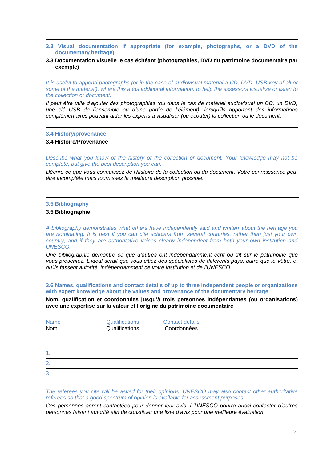- **3.3 Visual documentation if appropriate (for example, photographs, or a DVD of the documentary heritage)**
- **3.3 Documentation visuelle le cas échéant (photographies, DVD du patrimoine documentaire par exemple)**

*It is useful to append photographs (or in the case of audiovisual material a CD, DVD, USB key of all or some of the material), where this adds additional information, to help the assessors visualize or listen to the collection or document.*

*Il peut être utile d'ajouter des photographies (ou dans le cas de matériel audiovisuel un CD, un DVD, une clé USB de l'ensemble ou d'une partie de l'élément), lorsqu'ils apportent des informations complémentaires pouvant aider les experts à visualiser (ou écouter) la collection ou le document.*

### **3.4 History/provenance**

### **3.4 Histoire/Provenance**

*Describe what you know of the history of the collection or document. Your knowledge may not be complete, but give the best description you can.*

*Décrire ce que vous connaissez de l'histoire de la collection ou du document. Votre connaissance peut être incomplète mais fournissez la meilleure description possible.*

### **3.5 Bibliography**

### **3.5 Bibliographie**

*A bibliography demonstrates what others have independently said and written about the heritage you are nominating. It is best if you can cite scholars from several countries, rather than just your own country, and if they are authoritative voices clearly independent from both your own institution and UNESCO.* 

*Une bibliographie démontre ce que d'autres ont indépendamment écrit ou dit sur le patrimoine que vous présentez. L'idéal serait que vous citiez des spécialistes de différents pays, autre que le vôtre, et qu'ils fassent autorité, indépendamment de votre institution et de l'UNESCO.*

**3.6 Names, qualifications and contact details of up to three independent people or organizations with expert knowledge about the values and provenance of the documentary heritage**

**Nom, qualification et coordonnées jusqu'à trois personnes indépendantes (ou organisations) avec une expertise sur la valeur et l'origine du patrimoine documentaire**

| <b>Name</b><br>Nom | Qualifications<br>Qualifications | <b>Contact details</b><br>Coordonnées |  |
|--------------------|----------------------------------|---------------------------------------|--|
|                    |                                  |                                       |  |
| 1.                 |                                  |                                       |  |
| 2.                 |                                  |                                       |  |
| 3.                 |                                  |                                       |  |

*The referees you cite will be asked for their opinions. UNESCO may also contact other authoritative referees so that a good spectrum of opinion is available for assessment purposes.* 

*Ces personnes seront contactées pour donner leur avis. L'UNESCO pourra aussi contacter d'autres personnes faisant autorité afin de constituer une liste d'avis pour une meilleure évaluation.*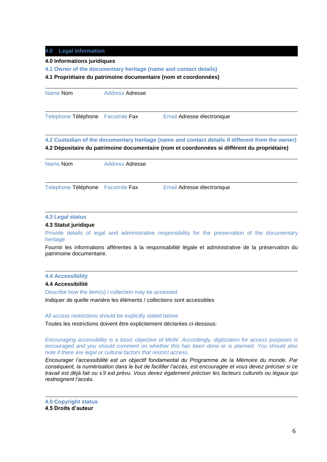## **4.0 Legal information**

### **4.0 Informations juridiques**

**4.1 Owner of the documentary heritage (name and contact details)**

### **4.1 Propriétaire du patrimoine documentaire (nom et coordonnées)**

| Name Nom                          | <b>Address Adresse</b> |                            |
|-----------------------------------|------------------------|----------------------------|
| Telephone Téléphone Facsimile Fax |                        | Email Adresse électronique |

## **4.2 Custodian of the documentary heritage (name and contact details if different from the owner) 4.2 Dépositaire du patrimoine documentaire (nom et coordonnées si différent du propriétaire)**

| Name Nom                          | <b>Address Adresse</b> |                            |  |
|-----------------------------------|------------------------|----------------------------|--|
| Telephone Téléphone Facsimile Fax |                        | Email Adresse électronique |  |

### **4.3 Legal status**

## **4.3 Statut juridique**

Provide details of legal and administrative responsibility for the preservation of the documentary heritage

Fournir les informations afférentes à la responsabilité légale et administrative de la préservation du patrimoine documentaire.

## **4.4 Accessibility**

### **4.4 Accessibilité**

Describe how the item(s) / collection may be accessed

Indiquer de quelle manière les éléments / collections sont accessibles

### All access restrictions should be explicitly stated below:

Toutes les restrictions doivent être explicitement déclarées ci-dessous:

*Encouraging accessibility is a basic objective of MoW. Accordingly, digitization for access purposes is encouraged and you should comment on whether this has been done or is planned. You should also note if there are legal or cultural factors that restrict access.* 

*Encourager l'accessibilité est un objectif fondamental du Programme de la Mémoire du monde. Par conséquent, la numérisation dans le but de faciliter l'accès, est encouragée et vous devez préciser si ce travail est déjà fait ou s'il est prévu. Vous devez également préciser les facteurs culturels ou légaux qui restreignent l'accès.*

**4.5 Copyright status 4.5 Droits d'auteur**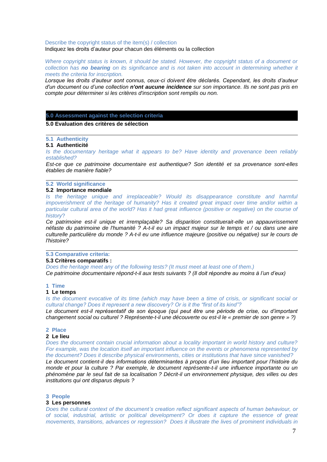Describe the copyright status of the item(s) / collection Indiquez les droits d'auteur pour chacun des éléments ou la collection

*Where copyright status is known, it should be stated. However, the copyright status of a document or collection has no bearing on its significance and is not taken into account in determining whether it meets the criteria for inscription.*

*Lorsque les droits d'auteur sont connus, ceux-ci doivent être déclarés. Cependant, les droits d'auteur d'un document ou d'une collection n'ont aucune incidence sur son importance. Ils ne sont pas pris en compte pour déterminer si les critères d'inscription sont remplis ou non.*

### **5.0 Assessment against the selection criteria**

### **5.0 Evaluation des critères de sélection**

### **5.1 Authenticity**

### **5.1 Authenticité**

*Is the documentary heritage what it appears to be? Have identity and provenance been reliably established?*

*Est-ce que ce patrimoine documentaire est authentique? Son identité et sa provenance sont-elles établies de manière fiable?*

### **5.2 World significance**

### **5.2 Importance mondiale**

*Is the heritage unique and irreplaceable? Would its disappearance constitute and harmful impoverishment of the heritage of humanity? Has it created great impact over time and/or within a particular cultural area of the world? Has it had great influence (positive or negative) on the course of history*?

*Ce patrimoine est-il unique et irremplaçable? Sa disparition constituerait-elle un appauvrissement néfaste du patrimoine de l'humanité ? A-t-il eu un impact majeur sur le temps et / ou dans une aire culturelle particulière du monde ? A-t-il eu une influence majeure (positive ou négative) sur le cours de l'histoire?*

## **5.3 Comparative criteria:**

### **5.3 Critères comparatifs :**

*Does the heritage meet any of the following tests? (It must meet at least one of them.) Ce patrimoine documentaire répond-t-il aux tests suivants ? (Il doit répondre au moins à l'un d'eux)*

### **1 Time**

### **1 Le temps**

*Is the document evocative of its time (which may have been a time of crisis, or significant social or cultural change? Does it represent a new discovery? Or is it the "first of its kind"?*

*Le document est-il représentatif de son époque (qui peut être une période de crise, ou d'important changement social ou culturel ? Représente-t-il une découverte ou est-il le « premier de son genre » ?)*

### **2 Place**

### **2 Le lieu**

*Does the document contain crucial information about a locality important in world history and culture? For example, was the location itself an important influence on the events or phenomena represented by the document? Does it describe physical environments, cities or institutions that have since vanished?*

*Le document contient-il des informations déterminantes à propos d'un lieu important pour l'histoire du monde et pour la culture ? Par exemple, le document représente-t-il une influence importante ou un phénomène par le seul fait de sa localisation ? Décrit-il un environnement physique, des villes ou des institutions qui ont disparus depuis ?* 

### **3 People**

### **3 Les personnes**

*Does the cultural context of the document's creation reflect significant aspects of human behaviour, or of social, industrial, artistic or political development? Or does it capture the essence of great movements, transitions, advances or regression? Does it illustrate the lives of prominent individuals in*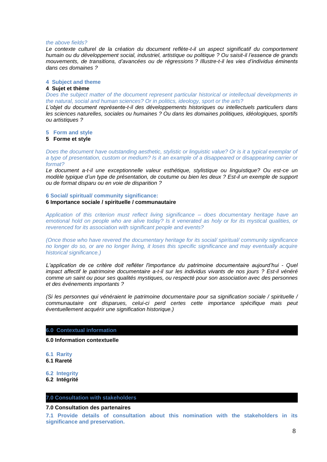### *the above fields?*

*Le contexte culturel de la création du document reflète-t-il un aspect significatif du comportement humain ou du développement social, industriel, artistique ou politique ? Ou saisit-il l'essence de grands mouvements, de transitions, d'avancées ou de régressions ? Illustre-t-il les vies d'individus éminents dans ces domaines ?*

### **4 Subject and theme**

### **4 Sujet et thème**

*Does the subject matter of the document represent particular historical or intellectual developments in the natural, social and human sciences? Or in politics, ideology, sport or the arts?*

*L'objet du document représente-t-il des développements historiques ou intellectuels particuliers dans les sciences naturelles, sociales ou humaines ? Ou dans les domaines politiques, idéologiques, sportifs ou artistiques ?*

### **5 Form and style**

### **5 Forme et style**

*Does the document have outstanding aesthetic, stylistic or linguistic value? Or is it a typical exemplar of a type of presentation, custom or medium? Is it an example of a disappeared or disappearing carrier or format?* 

*Le document a-t-il une exceptionnelle valeur esthétique, stylistique ou linguistique? Ou est-ce un modèle typique d'un type de présentation, de coutume ou bien les deux ? Est-il un exemple de support ou de format disparu ou en voie de disparition ?*

### **6 Social/ spiritual/ community significance:**

## **6 Importance sociale / spirituelle / communautaire**

*Application of this criterion must reflect living significance – does documentary heritage have an emotional hold on people who are alive today? Is it venerated as holy or for its mystical qualities, or reverenced for its association with significant people and events?* 

*(Once those who have revered the documentary heritage for its social/ spiritual/ community significance no longer do so, or are no longer living, it loses this specific significance and may eventually acquire historical significance.)*

*L'application de ce critère doit refléter l'importance du patrimoine documentaire aujourd'hui - Quel impact affectif le patrimoine documentaire a-t-il sur les individus vivants de nos jours ? Est-il vénéré comme un saint ou pour ses qualités mystiques, ou respecté pour son association avec des personnes et des événements importants ?*

*(Si les personnes qui vénéraient le patrimoine documentaire pour sa signification sociale / spirituelle / communautaire ont disparues, celui-ci perd certes cette importance spécifique mais peut éventuellement acquérir une signification historique.)*

### **6.0 Contextual information**

### **6.0 Information contextuelle**

**6.1 Rarity**

**6.1 Rareté**

### **6.2 Integrity**

**6.2 Intégrité**

### **7.0 Consultation with stakeholders**

### **7.0 Consultation des partenaires**

**7.1 Provide details of consultation about this nomination with the stakeholders in its significance and preservation.**